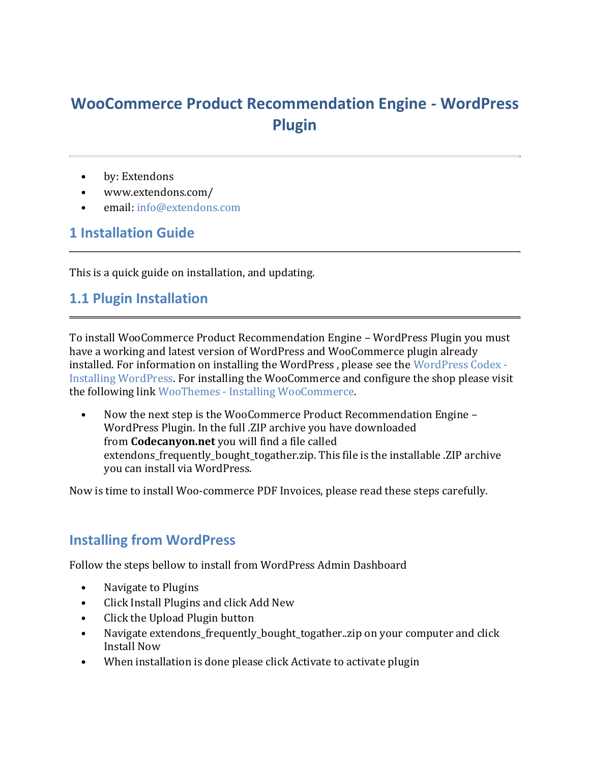## **WooCommerce Product Recommendation Engine - WordPress Plugin**

- by: Extendons
- www.extendons.com/
- email: [info@extendons.com](mailto:info@extendons.com)

#### **1 Installation Guide**

This is a quick guide on installation, and updating.

#### **1.1 Plugin Installation**

To install WooCommerce Product Recommendation Engine – WordPress Plugin you must have a working and latest version of WordPress and WooCommerce plugin already installed. For information on installing the WordPress , please see the [WordPress Codex -](http://codex.wordpress.org/Installing_WordPress) [Installing WordPress.](http://codex.wordpress.org/Installing_WordPress) For installing the WooCommerce and configure the shop please visit the following link WooThemes - [Installing WooCommerce.](https://docs.woothemes.com/document/installing-uninstalling-woocommerce/)

• Now the next step is the WooCommerce Product Recommendation Engine – WordPress Plugin. In the full .ZIP archive you have downloaded from **Codecanyon.net** you will find a file called extendons\_frequently\_bought\_togather.zip. This file is the installable .ZIP archive you can install via WordPress.

Now is time to install Woo-commerce PDF Invoices, please read these steps carefully.

#### **Installing from WordPress**

Follow the steps bellow to install from WordPress Admin Dashboard

- Navigate to Plugins
- Click Install Plugins and click Add New
- Click the Upload Plugin button
- Navigate extendons frequently bought togather..zip on your computer and click Install Now
- When installation is done please click Activate to activate plugin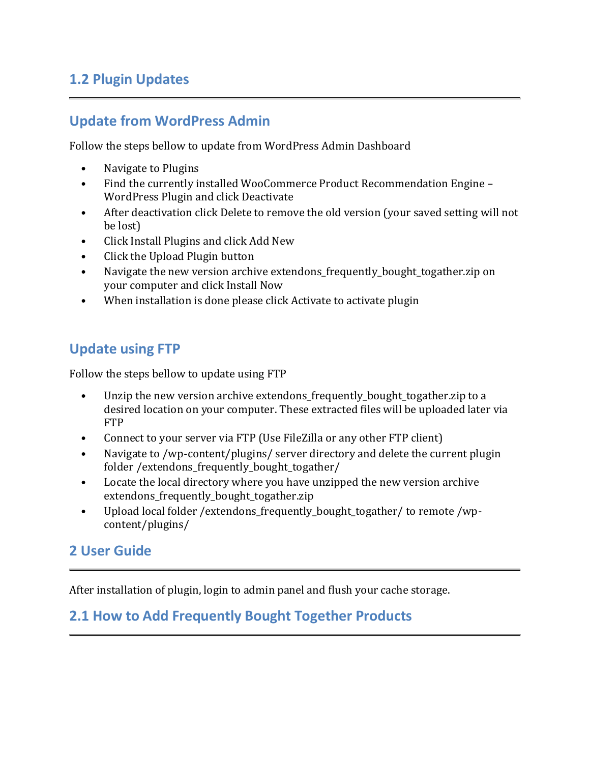### **1.2 Plugin Updates**

#### **Update from WordPress Admin**

Follow the steps bellow to update from WordPress Admin Dashboard

- Navigate to Plugins
- Find the currently installed WooCommerce Product Recommendation Engine WordPress Plugin and click Deactivate
- After deactivation click Delete to remove the old version (your saved setting will not be lost)
- Click Install Plugins and click Add New
- Click the Upload Plugin button
- Navigate the new version archive extendons\_frequently\_bought\_togather.zip on your computer and click Install Now
- When installation is done please click Activate to activate plugin

#### **Update using FTP**

Follow the steps bellow to update using FTP

- Unzip the new version archive extendons frequently bought togather.zip to a desired location on your computer. These extracted files will be uploaded later via FTP
- Connect to your server via FTP (Use FileZilla or any other FTP client)
- Navigate to /wp-content/plugins/ server directory and delete the current plugin folder /extendons\_frequently\_bought\_togather/
- Locate the local directory where you have unzipped the new version archive extendons\_frequently\_bought\_togather.zip
- Upload local folder / extendons frequently bought togather/ to remote /wpcontent/plugins/

#### **2 User Guide**

After installation of plugin, login to admin panel and flush your cache storage.

#### **2.1 How to Add Frequently Bought Together Products**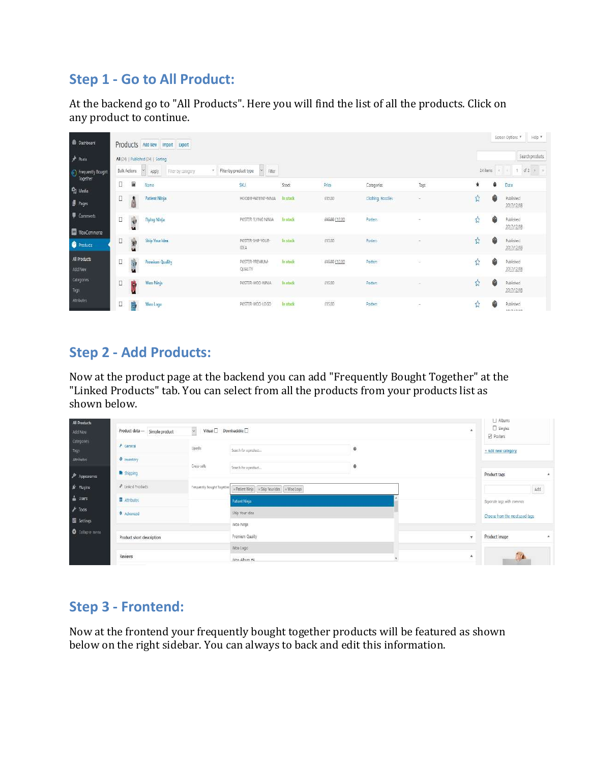#### **Step 1 - Go to All Product:**

At the backend go to "All Products". Here you will find the list of all the products. Click on any product to continue.

| <b>B</b> Dashboard            |                                     |                     | Products Add New Import Export | Help T<br>Screen Options ▼       |                 |               |                         |                          |              |                                 |
|-------------------------------|-------------------------------------|---------------------|--------------------------------|----------------------------------|-----------------|---------------|-------------------------|--------------------------|--------------|---------------------------------|
| A Posts                       | All (24)   Published (24)   Sorting |                     |                                |                                  |                 |               |                         |                          |              | Search products                 |
| Frequently Bought<br>Together |                                     | <b>Bulk Actions</b> | Filter by category<br>Apply    | v Fiter<br>Fiter by product type |                 |               |                         |                          | 24 items     | $of 2$ $\rightarrow$<br>$-11.1$ |
| <sup>0</sup> 1 Media          | П                                   | 圖                   | Name                           | SKU.                             | Stock           | Price         | Categories              | Tags                     | $\star$<br>٠ | Date                            |
| <b>Dages</b>                  | Ц                                   |                     | <b>Patient Ninja</b>           | HOODIE-RATIENT-NINJA             | <b>In stock</b> | £35.00        | Clathing, Hoodies       | ÷                        | ŝ<br>☆       | Published<br>2017/12/08         |
| Comments<br>WooCommerce       | $\Box$                              |                     | Flying Ninja                   | POSTER-RVING-NINIA               | In stock        | £15.00 £12.00 | Posters.                | ÷                        | ☝<br>宜       | Published<br>2017/12/08         |
| <b>O</b> Products             | □                                   |                     | Ship Your Idea                 | POSTER-SHIP-YOUR-<br>IDEA        | In stock        | £15.00        | Posters                 | $\sim$                   | ⋒<br>☆       | Published<br>2017/12/08         |
| All Products<br>Add New       | □                                   |                     | <b>Premium Quality</b>         | POSTER-PREMIUM-<br>QUALITY       | In stock        | £15.00 £12.00 | Posters<br><b>SANCE</b> | 益                        | 凾<br>贷       | Published<br>2017/12/08         |
| Calegories<br>Tags.           | $\Box$                              | ä                   | Woo Ninja                      | POSTER-WOO-NINJA                 | In stock        | £15.00        | Posters                 | $\overline{\phantom{a}}$ | ß<br>宜       | <b>Published</b><br>2017/12/08  |
| Attributes                    | □                                   |                     | Woo Logo                       | POSTER-WOO-LOGO                  | In stock        | £15.00        | Posters                 | $\leq$                   | æ<br>投       | Published<br>SNETHERMS.         |

#### **Step 2 - Add Products:**

Now at the product page at the backend you can add "Frequently Bought Together" at the "Linked Products" tab. You can select from all the products from your products list as shown below.

| All Products<br>Add New              | Product data - Simple product   |                            | Albums<br>$\Box$ Singles<br>Posters             |   |  |                           |                                |   |
|--------------------------------------|---------------------------------|----------------------------|-------------------------------------------------|---|--|---------------------------|--------------------------------|---|
| Categories<br>$\lceil \log p \rceil$ | $\triangleright$ General        | Upsells                    | Search for a product                            | 0 |  |                           | + Add new category             |   |
| Attributes                           | <b>O</b> Inventory              |                            |                                                 |   |  |                           |                                |   |
| $\mathcal N$ Appearance              | sipping                         | $C$ ross-sells             | θ<br>Serrch for a product                       |   |  |                           | Product tags                   |   |
| fir Plugins                          | <b><i>d</i></b> Linked Products | Frequently Bought Together | - Patient Ninjo   < Ship Your Idea   - Woo Logo |   |  |                           | $\dot{\rm add}$                |   |
| <b>A</b> Users                       | Attributes                      |                            | Patient Ninja                                   |   |  | Separate togs with commos |                                |   |
| $\sqrt{\frac{1}{2}}$ Tools           | <b>C</b> Advanced               |                            | Ship Your (dea<br>Woo Ninja                     |   |  |                           | Choose from the most used tags |   |
| <b>E</b> Settings                    |                                 |                            |                                                 |   |  |                           |                                |   |
| Collapse menu                        | Product short description       |                            | Premium Quality                                 |   |  |                           | Product Image                  | × |
|                                      |                                 |                            | Woo Logo                                        |   |  |                           |                                |   |
|                                      | Reviews                         |                            | Woo Album #4                                    |   |  | ٨                         | $\frac{1}{2}$                  |   |

### **Step 3 - Frontend:**

Now at the frontend your frequently bought together products will be featured as shown below on the right sidebar. You can always to back and edit this information.